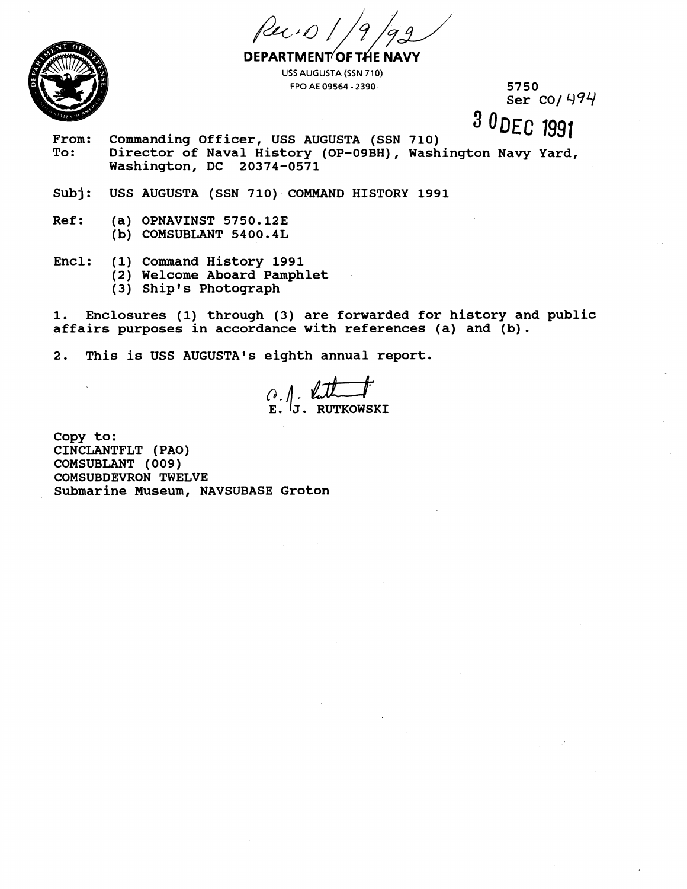Ruio



**DEPARTMENT OF THE NAVY USS AUGUSTA (SSN 710) FPO AE 09564** - **2390** 

**5750 Ser CO/ 494** 

3 ODEC 1991

- **From: Commanding Officer, USS AUGUSTA (SSN 710)**  To: Director of Naval History (OP-09BH), Washington Navy Yard,<br>Washington, DC 20374-0571 **Washington, DC 20374-0571**
- **Subj: USS AUGUSTA (SSN 710) COMMAND HISTORY 1991**
- **Ref: (a) OPNAVINST 5750.123 (b) COMSUBLANT 5400.4L**
- **Encl: (1) Command History 1991** 
	- **(2) Welcome Aboard Pamphlet**
	- **(3) Ship1 s Photograph**

**1. Enclosures (1) through (3) are forwarded for history and public affairs purposes in accordance with references (a) and (b).**  re forwarded for his<br>
ith references (a) a<br>
annual report.<br>
((1) The monothermore monothermore monothermore monothermore monothermore monothermore monothermore monothermore monothermore monothermore monothermore monothermo

**2. This is USS AUGUSTA1s eighth annual report.** 

 $\emptyset$ .  $\emptyset$ **E. J. RUTKOWSICI** 

**Copy to: CINCLANTFLT (PAO) COMSUBLANT (009) COMSUBDEVRON TWELVE Submarine Museum, NAVSUBASE Groton**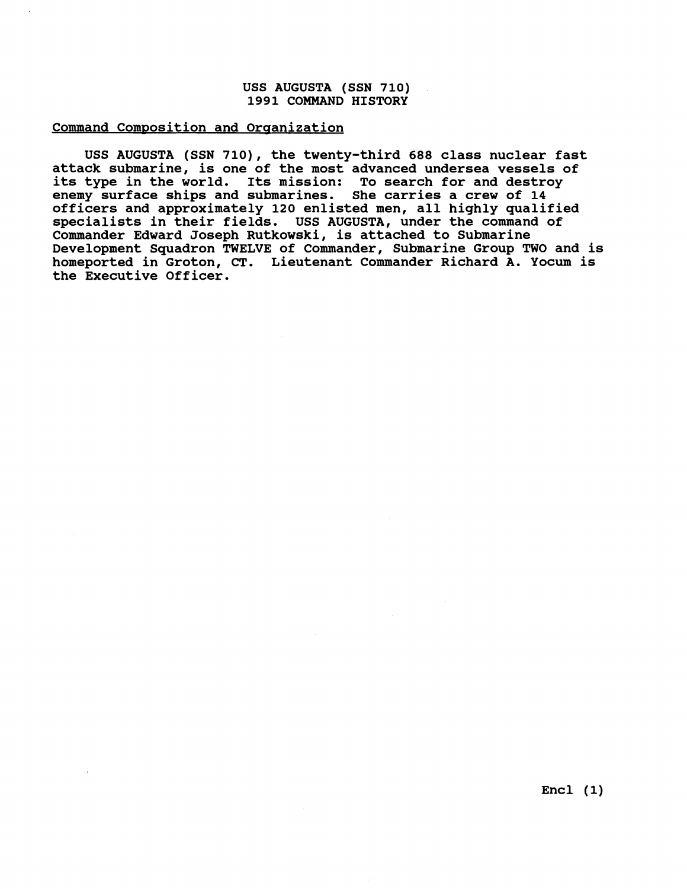## **USS AUGUSTA (SSN 710) 1991 COMMAND HISTORY**

## **Command Composition and Organization**

**USS AUGUSTA (SSN 710), the twenty-third 688 class nuclear fast attack submarine, is one of the most advanced undersea vessels of its type in the world. Its mission: To search for and destroy enemy surface ships and submarines. She carries a crew of 14 officers and approximately 120 enlisted men, all highly qualified specialists in their fields. USS AUGUSTA, under the command of Commander Edward Joseph Rutkowski, is attached to Submarine Development Squadron TWELVE of Commander, Submarine Group TWO and is homeported in Groton, CT. Lieutenant Commander Richard A. Yocum is the Executive Officer.**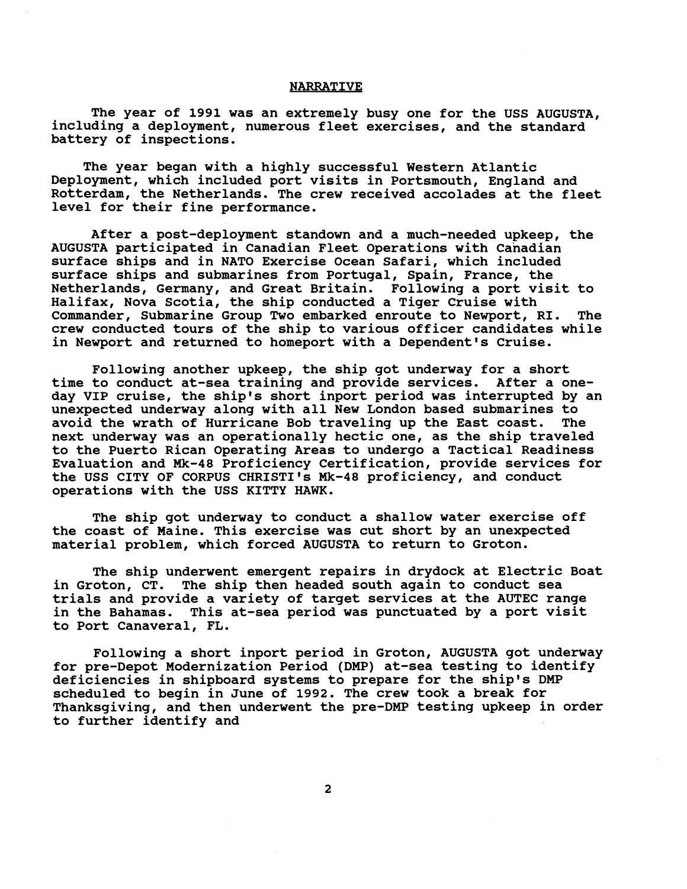## **NARRATIVE**

**The year of 1991 was an extremely busy one for the USS AUGUSTA, including a deployment, numerous fleet exercises, and the standard battery of inspections.** 

**The year began with a highly successful Western Atlantic Deployment, which included port visits in Portsmouth, England and Rotterdam, the Netherlands. The crew received accolades at the fleet level for their fine performance.** 

**After a post-deployment standown and a much-needed upkeep, the AUGUSTA participated in Canadian Fleet Operations with Canadian surface ships and in NATO Exercise Ocean Safari, which included surface ships and submarines from Portugal, Spain, France, the Netherlands, Germany, and Great Britain. Following a port visit to Halifax, Nova Scotia, the ship conducted a Tiger Cruise with Commander, Submarine Group Two embarked enroute to Newport, RI. The crew conducted tours of the ship to various officer candidates while in Newport and returned to homeport with a Dependent's Cruise.** 

**Following another upkeep, the ship got underway for a short time to conduct at-sea training and provide services. After a oneday VIP cruise, the ship's short inport period was interrupted by an unexpected underway along with all New London based submarines to avoid the wrath of Hurricane Bob traveling up the East coast. The next underway was an operationally hectic one, as the ship traveled to the Puerto Rican Operating Areas to undergo a Tactical Readiness Evaluation and Mk-48 Proficiency Certification, provide services for the USS CITY OF CORPUS CHRISTI'S Mk-48 proficiency, and conduct operations with the USS KITTY HAWK.** 

**The ship got underway to conduct a shallow water exercise off the coast of Maine. This exercise was cut short by an unexpected material problem, which forced AUGUSTA to return to Groton.** 

**The ship underwent emergent repairs in drydock at Electric Boat in Groton, CT. The ship then headed south again to conduct sea trials and provide a variety of target services at the AUTEC range in the Bahamas. This at-sea period was punctuated by a port visit to Port Canaveral, FL.** 

**Following a short inport period in Groton, AUGUSTA got underway for pre-Depot Modernization Period (DMP) at-sea testing to identify deficiencies in shipboard systems to prepare for the ship's DMP scheduled to begin in June of 1992. The crew took a break for Thanksgiving, and then underwent the pre-DMP testing upkeep in order to further identify and**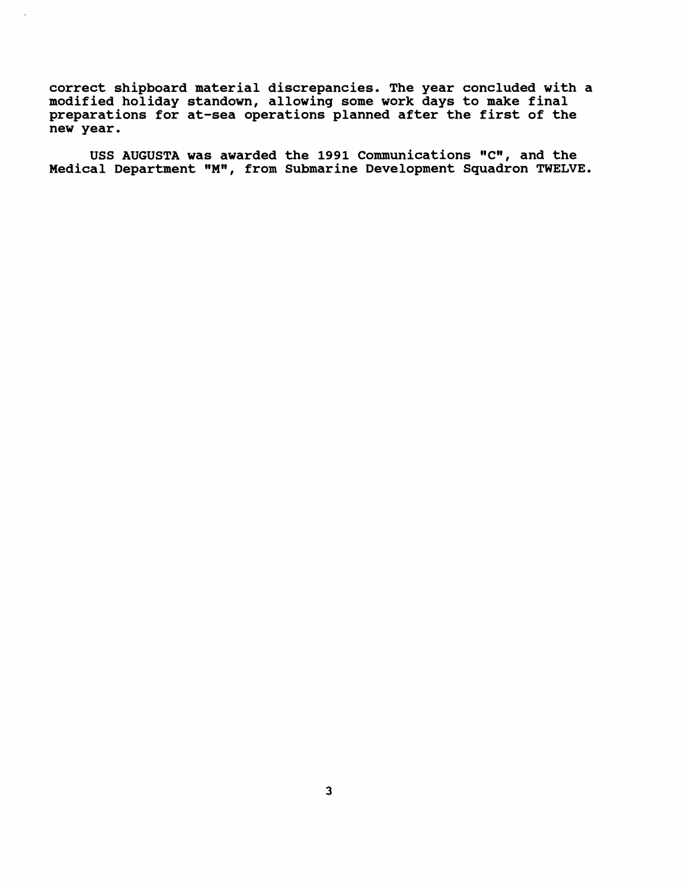**correct shipboard material discrepancies. The year concluded with a modified holiday standown, allowing some work days to make final preparations for at-sea operations planned after the first of the new year.** 

USS AUGUSTA was awarded the 1991 Communications **"**C**"**, and the <code>Medical Department "M", from Submarine Development Squadron TWELVE.</code>